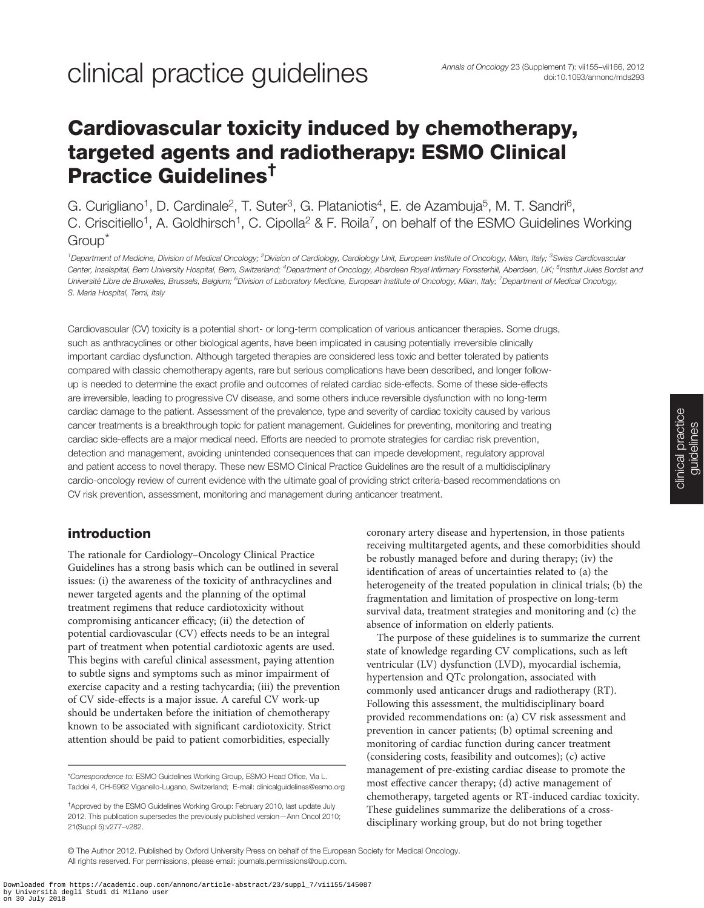### Cardiovascular toxicity induced by chemotherapy, targeted agents and radiotherapy: ESMO Clinical Practice Guidelines†

G. Curigliano<sup>1</sup>, D. Cardinale<sup>2</sup>, T. Suter<sup>3</sup>, G. Plataniotis<sup>4</sup>, E. de Azambuja<sup>5</sup>, M. T. Sandri<sup>6</sup>, C. Criscitiello<sup>1</sup>, A. Goldhirsch<sup>1</sup>, C. Cipolla<sup>2</sup> & F. Roila<sup>7</sup>, on behalf of the ESMO Guidelines Working Group\*

<sup>1</sup>Department of Medicine, Division of Medical Oncology; <sup>2</sup>Division of Cardiology, Cardiology Unit, European Institute of Oncology, Milan, Italy; <sup>3</sup>Swiss Cardiovascular Center, Inselspital, Bern University Hospital, Bern, Switzerland; <sup>4</sup>Department of Oncology, Aberdeen Royal Infirmary Foresterhill, Aberdeen, UK; <sup>5</sup>Institut Jules Bordet and Université Libre de Bruxelles, Brussels, Belgium; <sup>6</sup>Division of Laboratory Medicine, European Institute of Oncology, Milan, Italy; <sup>7</sup>Department of Medical Oncology, S. Maria Hospital, Terni, Italy

Cardiovascular (CV) toxicity is a potential short- or long-term complication of various anticancer therapies. Some drugs, such as anthracyclines or other biological agents, have been implicated in causing potentially irreversible clinically important cardiac dysfunction. Although targeted therapies are considered less toxic and better tolerated by patients compared with classic chemotherapy agents, rare but serious complications have been described, and longer followup is needed to determine the exact profile and outcomes of related cardiac side-effects. Some of these side-effects are irreversible, leading to progressive CV disease, and some others induce reversible dysfunction with no long-term cardiac damage to the patient. Assessment of the prevalence, type and severity of cardiac toxicity caused by various cancer treatments is a breakthrough topic for patient management. Guidelines for preventing, monitoring and treating cardiac side-effects are a major medical need. Efforts are needed to promote strategies for cardiac risk prevention, detection and management, avoiding unintended consequences that can impede development, regulatory approval and patient access to novel therapy. These new ESMO Clinical Practice Guidelines are the result of a multidisciplinary cardio-oncology review of current evidence with the ultimate goal of providing strict criteria-based recommendations on CV risk prevention, assessment, monitoring and management during anticancer treatment.

### introduction

The rationale for Cardiology–Oncology Clinical Practice Guidelines has a strong basis which can be outlined in several issues: (i) the awareness of the toxicity of anthracyclines and newer targeted agents and the planning of the optimal treatment regimens that reduce cardiotoxicity without compromising anticancer efficacy; (ii) the detection of potential cardiovascular (CV) effects needs to be an integral part of treatment when potential cardiotoxic agents are used. This begins with careful clinical assessment, paying attention to subtle signs and symptoms such as minor impairment of exercise capacity and a resting tachycardia; (iii) the prevention of CV side-effects is a major issue. A careful CV work-up should be undertaken before the initiation of chemotherapy known to be associated with significant cardiotoxicity. Strict attention should be paid to patient comorbidities, especially

\*Correspondence to: ESMO Guidelines Working Group, ESMO Head Office, Via L. Taddei 4, CH-6962 Viganello-Lugano, Switzerland; E-mail: clinicalguidelines@esmo.org

† Approved by the ESMO Guidelines Working Group: February 2010, last update July 2012. This publication supersedes the previously published version—Ann Oncol 2010; 21(Suppl 5):v277–v282.

All rights reserved. For permissions, please email: journals.permissions@oup.com.

coronary artery disease and hypertension, in those patients receiving multitargeted agents, and these comorbidities should be robustly managed before and during therapy; (iv) the identification of areas of uncertainties related to (a) the heterogeneity of the treated population in clinical trials; (b) the fragmentation and limitation of prospective on long-term survival data, treatment strategies and monitoring and (c) the absence of information on elderly patients.

The purpose of these guidelines is to summarize the current state of knowledge regarding CV complications, such as left ventricular (LV) dysfunction (LVD), myocardial ischemia, hypertension and QTc prolongation, associated with commonly used anticancer drugs and radiotherapy (RT). Following this assessment, the multidisciplinary board provided recommendations on: (a) CV risk assessment and prevention in cancer patients; (b) optimal screening and monitoring of cardiac function during cancer treatment (considering costs, feasibility and outcomes); (c) active management of pre-existing cardiac disease to promote the most effective cancer therapy; (d) active management of chemotherapy, targeted agents or RT-induced cardiac toxicity. These guidelines summarize the deliberations of a crossdisciplinary working group, but do not bring together

© The Author 2012. Published by Oxford University Press on behalf of the European Society for Medical Oncology.

clinical practice guidelines

clinical practice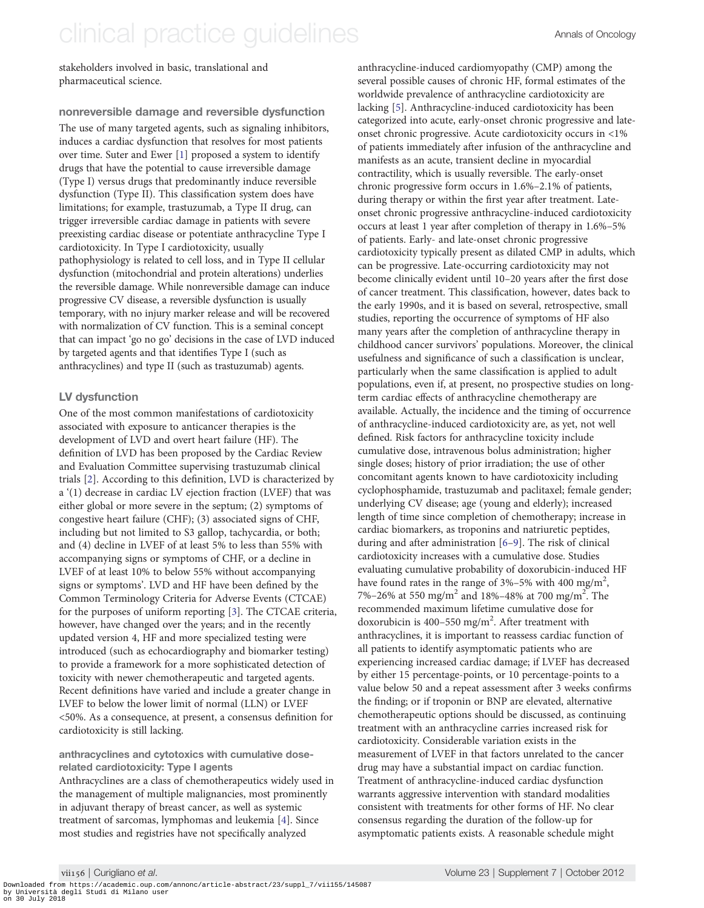# clinical practice quidelines and the second annuals of Oncology

stakeholders involved in basic, translational and pharmaceutical science.

#### nonreversible damage and reversible dysfunction

The use of many targeted agents, such as signaling inhibitors, induces a cardiac dysfunction that resolves for most patients over time. Suter and Ewer [[1](#page-10-0)] proposed a system to identify drugs that have the potential to cause irreversible damage (Type I) versus drugs that predominantly induce reversible dysfunction (Type II). This classification system does have limitations; for example, trastuzumab, a Type II drug, can trigger irreversible cardiac damage in patients with severe preexisting cardiac disease or potentiate anthracycline Type I cardiotoxicity. In Type I cardiotoxicity, usually pathophysiology is related to cell loss, and in Type II cellular dysfunction (mitochondrial and protein alterations) underlies the reversible damage. While nonreversible damage can induce progressive CV disease, a reversible dysfunction is usually temporary, with no injury marker release and will be recovered with normalization of CV function. This is a seminal concept that can impact 'go no go' decisions in the case of LVD induced by targeted agents and that identifies Type I (such as anthracyclines) and type II (such as trastuzumab) agents.

#### LV dysfunction

One of the most common manifestations of cardiotoxicity associated with exposure to anticancer therapies is the development of LVD and overt heart failure (HF). The definition of LVD has been proposed by the Cardiac Review and Evaluation Committee supervising trastuzumab clinical trials [\[2\]](#page-10-0). According to this definition, LVD is characterized by a '(1) decrease in cardiac LV ejection fraction (LVEF) that was either global or more severe in the septum; (2) symptoms of congestive heart failure (CHF); (3) associated signs of CHF, including but not limited to S3 gallop, tachycardia, or both; and (4) decline in LVEF of at least 5% to less than 55% with accompanying signs or symptoms of CHF, or a decline in LVEF of at least 10% to below 55% without accompanying signs or symptoms'. LVD and HF have been defined by the Common Terminology Criteria for Adverse Events (CTCAE) for the purposes of uniform reporting [[3](#page-10-0)]. The CTCAE criteria, however, have changed over the years; and in the recently updated version 4, HF and more specialized testing were introduced (such as echocardiography and biomarker testing) to provide a framework for a more sophisticated detection of toxicity with newer chemotherapeutic and targeted agents. Recent definitions have varied and include a greater change in LVEF to below the lower limit of normal (LLN) or LVEF <50%. As a consequence, at present, a consensus definition for cardiotoxicity is still lacking.

anthracyclines and cytotoxics with cumulative doserelated cardiotoxicity: Type I agents

Anthracyclines are a class of chemotherapeutics widely used in the management of multiple malignancies, most prominently in adjuvant therapy of breast cancer, as well as systemic treatment of sarcomas, lymphomas and leukemia [[4](#page-10-0)]. Since most studies and registries have not specifically analyzed

anthracycline-induced cardiomyopathy (CMP) among the several possible causes of chronic HF, formal estimates of the worldwide prevalence of anthracycline cardiotoxicity are lacking [\[5\]](#page-10-0). Anthracycline-induced cardiotoxicity has been categorized into acute, early-onset chronic progressive and lateonset chronic progressive. Acute cardiotoxicity occurs in <1% of patients immediately after infusion of the anthracycline and manifests as an acute, transient decline in myocardial contractility, which is usually reversible. The early-onset chronic progressive form occurs in 1.6%–2.1% of patients, during therapy or within the first year after treatment. Lateonset chronic progressive anthracycline-induced cardiotoxicity occurs at least 1 year after completion of therapy in 1.6%–5% of patients. Early- and late-onset chronic progressive cardiotoxicity typically present as dilated CMP in adults, which can be progressive. Late-occurring cardiotoxicity may not become clinically evident until 10–20 years after the first dose of cancer treatment. This classification, however, dates back to the early 1990s, and it is based on several, retrospective, small studies, reporting the occurrence of symptoms of HF also many years after the completion of anthracycline therapy in childhood cancer survivors' populations. Moreover, the clinical usefulness and significance of such a classification is unclear, particularly when the same classification is applied to adult populations, even if, at present, no prospective studies on longterm cardiac effects of anthracycline chemotherapy are available. Actually, the incidence and the timing of occurrence of anthracycline-induced cardiotoxicity are, as yet, not well defined. Risk factors for anthracycline toxicity include cumulative dose, intravenous bolus administration; higher single doses; history of prior irradiation; the use of other concomitant agents known to have cardiotoxicity including cyclophosphamide, trastuzumab and paclitaxel; female gender; underlying CV disease; age (young and elderly); increased length of time since completion of chemotherapy; increase in cardiac biomarkers, as troponins and natriuretic peptides, during and after administration [\[6](#page-10-0)–[9](#page-10-0)]. The risk of clinical cardiotoxicity increases with a cumulative dose. Studies evaluating cumulative probability of doxorubicin-induced HF have found rates in the range of  $3\% - 5\%$  with 400 mg/m<sup>2</sup>, 7%–26% at 550 mg/m<sup>2</sup> and 18%–48% at 700 mg/m<sup>2</sup>. The recommended maximum lifetime cumulative dose for doxorubicin is 400-550 mg/m<sup>2</sup>. After treatment with anthracyclines, it is important to reassess cardiac function of all patients to identify asymptomatic patients who are experiencing increased cardiac damage; if LVEF has decreased by either 15 percentage-points, or 10 percentage-points to a value below 50 and a repeat assessment after 3 weeks confirms the finding; or if troponin or BNP are elevated, alternative chemotherapeutic options should be discussed, as continuing treatment with an anthracycline carries increased risk for cardiotoxicity. Considerable variation exists in the measurement of LVEF in that factors unrelated to the cancer drug may have a substantial impact on cardiac function. Treatment of anthracycline-induced cardiac dysfunction warrants aggressive intervention with standard modalities consistent with treatments for other forms of HF. No clear consensus regarding the duration of the follow-up for asymptomatic patients exists. A reasonable schedule might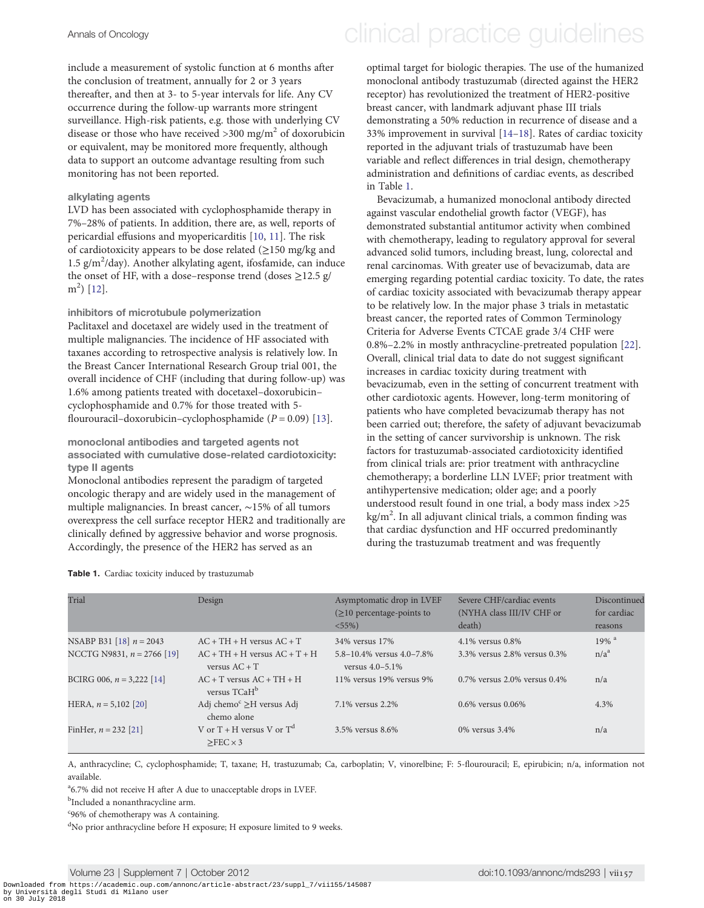# Annals of Oncology **Annals of Oncology** clinical practice quidelines

include a measurement of systolic function at 6 months after the conclusion of treatment, annually for 2 or 3 years thereafter, and then at 3- to 5-year intervals for life. Any CV occurrence during the follow-up warrants more stringent surveillance. High-risk patients, e.g. those with underlying CV disease or those who have received  $>300$  mg/m<sup>2</sup> of doxorubicin or equivalent, may be monitored more frequently, although data to support an outcome advantage resulting from such monitoring has not been reported.

#### alkylating agents

LVD has been associated with cyclophosphamide therapy in 7%–28% of patients. In addition, there are, as well, reports of pericardial effusions and myopericarditis [\[10](#page-10-0), [11](#page-10-0)]. The risk of cardiotoxicity appears to be dose related  $(\geq 150 \text{ mg/kg}$  and 1.5 g/m<sup>2</sup>/day). Another alkylating agent, ifosfamide, can induce the onset of HF, with a dose–response trend (doses  $\geq$ 12.5 g/ m2 ) [\[12](#page-10-0)].

#### inhibitors of microtubule polymerization

Paclitaxel and docetaxel are widely used in the treatment of multiple malignancies. The incidence of HF associated with taxanes according to retrospective analysis is relatively low. In the Breast Cancer International Research Group trial 001, the overall incidence of CHF (including that during follow-up) was 1.6% among patients treated with docetaxel–doxorubicin– cyclophosphamide and 0.7% for those treated with 5 flourouracil–doxorubicin–cyclophosphamide  $(P = 0.09)$  [[13](#page-10-0)].

monoclonal antibodies and targeted agents not associated with cumulative dose-related cardiotoxicity: type II agents

Monoclonal antibodies represent the paradigm of targeted oncologic therapy and are widely used in the management of multiple malignancies. In breast cancer, ∼15% of all tumors overexpress the cell surface receptor HER2 and traditionally are clinically defined by aggressive behavior and worse prognosis. Accordingly, the presence of the HER2 has served as an

optimal target for biologic therapies. The use of the humanized monoclonal antibody trastuzumab (directed against the HER2 receptor) has revolutionized the treatment of HER2-positive breast cancer, with landmark adjuvant phase III trials demonstrating a 50% reduction in recurrence of disease and a 33% improvement in survival [\[14](#page-10-0)–[18](#page-10-0)]. Rates of cardiac toxicity reported in the adjuvant trials of trastuzumab have been variable and reflect differences in trial design, chemotherapy administration and definitions of cardiac events, as described in Table 1.

Bevacizumab, a humanized monoclonal antibody directed against vascular endothelial growth factor (VEGF), has demonstrated substantial antitumor activity when combined with chemotherapy, leading to regulatory approval for several advanced solid tumors, including breast, lung, colorectal and renal carcinomas. With greater use of bevacizumab, data are emerging regarding potential cardiac toxicity. To date, the rates of cardiac toxicity associated with bevacizumab therapy appear to be relatively low. In the major phase 3 trials in metastatic breast cancer, the reported rates of Common Terminology Criteria for Adverse Events CTCAE grade 3/4 CHF were 0.8%–2.2% in mostly anthracycline-pretreated population [\[22](#page-10-0)]. Overall, clinical trial data to date do not suggest significant increases in cardiac toxicity during treatment with bevacizumab, even in the setting of concurrent treatment with other cardiotoxic agents. However, long-term monitoring of patients who have completed bevacizumab therapy has not been carried out; therefore, the safety of adjuvant bevacizumab in the setting of cancer survivorship is unknown. The risk factors for trastuzumab-associated cardiotoxicity identified from clinical trials are: prior treatment with anthracycline chemotherapy; a borderline LLN LVEF; prior treatment with antihypertensive medication; older age; and a poorly understood result found in one trial, a body mass index >25 kg/m<sup>2</sup>. In all adjuvant clinical trials, a common finding was that cardiac dysfunction and HF occurred predominantly during the trastuzumab treatment and was frequently

|  |  | Table 1. Cardiac toxicity induced by trastuzumab |
|--|--|--------------------------------------------------|
|  |  |                                                  |

| Trial                        | Design                                                    | Asymptomatic drop in LVEF<br>$(\geq 10$ percentage-points to<br>$< 55\%$ ) | Severe CHF/cardiac events<br>(NYHA class III/IV CHF or<br>death) | Discontinued<br>for cardiac<br>reasons |
|------------------------------|-----------------------------------------------------------|----------------------------------------------------------------------------|------------------------------------------------------------------|----------------------------------------|
| NSABP B31 [18] $n = 2043$    | $AC + TH + H$ versus $AC + T$                             | 34% versus 17%                                                             | 4.1% versus $0.8\%$                                              | $19\%$ <sup>a</sup>                    |
| NCCTG N9831, $n = 2766$ [19] | $AC + TH + H$ versus $AC + T + H$<br>versus $AC + T$      | $5.8 - 10.4\%$ versus $4.0 - 7.8\%$<br>versus $4.0 - 5.1\%$                | 3.3% versus 2.8% versus 0.3%                                     | n/a <sup>a</sup>                       |
| BCIRG 006, $n = 3,222$ [14]  | $AC + T$ versus $AC + TH + H$<br>versus TCaH <sup>b</sup> | $11\%$ versus $19\%$ versus $9\%$                                          | $0.7\%$ versus 2.0% versus 0.4%                                  | n/a                                    |
| HERA, $n = 5,102$ [20]       | Adj chemo <sup>c</sup> $\geq$ H versus Adj<br>chemo alone | 7.1% versus 2.2%                                                           | $0.6\%$ versus $0.06\%$                                          | 4.3%                                   |
| FinHer, $n = 232$ [21]       | V or $T + H$ versus V or $Td$<br>$>$ FEC $\times$ 3       | 3.5% versus 8.6%                                                           | $0\%$ versus $3.4\%$                                             | n/a                                    |

A, anthracycline; C, cyclophosphamide; T, taxane; H, trastuzumab; Ca, carboplatin; V, vinorelbine; F: 5-flourouracil; E, epirubicin; n/a, information not available.

<sup>a</sup>6.7% did not receive H after A due to unacceptable drops in LVEF.

b Included a nonanthracycline arm.

c 96% of chemotherapy was A containing.

<sup>d</sup>No prior anthracycline before H exposure; H exposure limited to 9 weeks.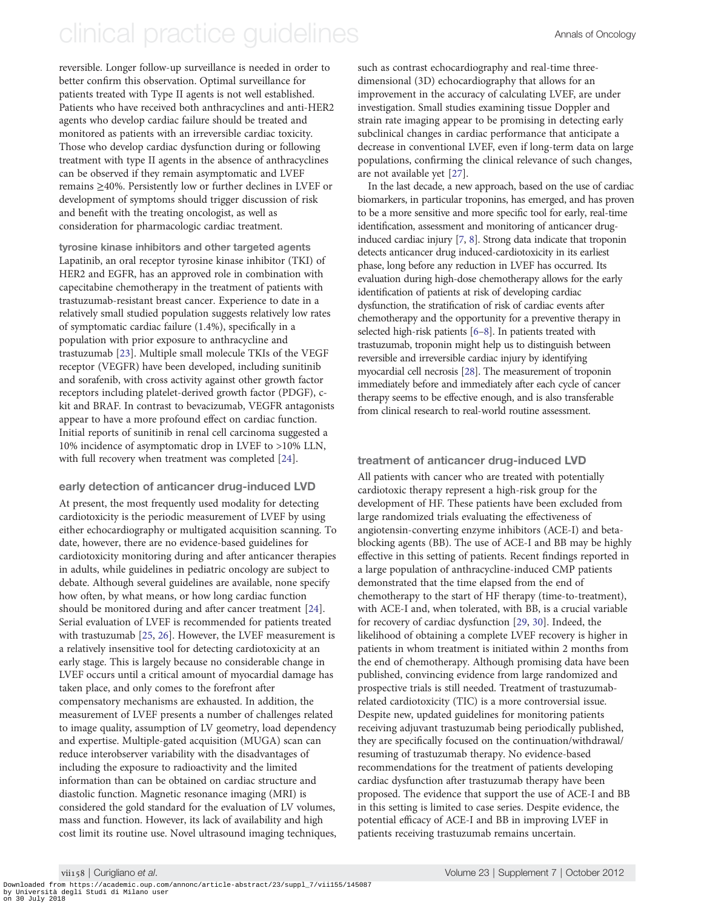### clinical practice quidelines and the second annuals of Oncology

reversible. Longer follow-up surveillance is needed in order to better confirm this observation. Optimal surveillance for patients treated with Type II agents is not well established. Patients who have received both anthracyclines and anti-HER2 agents who develop cardiac failure should be treated and monitored as patients with an irreversible cardiac toxicity. Those who develop cardiac dysfunction during or following treatment with type II agents in the absence of anthracyclines can be observed if they remain asymptomatic and LVEF remains ≥40%. Persistently low or further declines in LVEF or development of symptoms should trigger discussion of risk and benefit with the treating oncologist, as well as consideration for pharmacologic cardiac treatment.

tyrosine kinase inhibitors and other targeted agents Lapatinib, an oral receptor tyrosine kinase inhibitor (TKI) of HER2 and EGFR, has an approved role in combination with capecitabine chemotherapy in the treatment of patients with trastuzumab-resistant breast cancer. Experience to date in a relatively small studied population suggests relatively low rates of symptomatic cardiac failure (1.4%), specifically in a population with prior exposure to anthracycline and trastuzumab [\[23](#page-10-0)]. Multiple small molecule TKIs of the VEGF receptor (VEGFR) have been developed, including sunitinib and sorafenib, with cross activity against other growth factor receptors including platelet-derived growth factor (PDGF), ckit and BRAF. In contrast to bevacizumab, VEGFR antagonists appear to have a more profound effect on cardiac function. Initial reports of sunitinib in renal cell carcinoma suggested a 10% incidence of asymptomatic drop in LVEF to >10% LLN, with full recovery when treatment was completed [[24](#page-10-0)].

#### early detection of anticancer drug-induced LVD

At present, the most frequently used modality for detecting cardiotoxicity is the periodic measurement of LVEF by using either echocardiography or multigated acquisition scanning. To date, however, there are no evidence-based guidelines for cardiotoxicity monitoring during and after anticancer therapies in adults, while guidelines in pediatric oncology are subject to debate. Although several guidelines are available, none specify how often, by what means, or how long cardiac function should be monitored during and after cancer treatment [\[24\]](#page-10-0). Serial evaluation of LVEF is recommended for patients treated with trastuzumab [[25,](#page-10-0) [26\]](#page-10-0). However, the LVEF measurement is a relatively insensitive tool for detecting cardiotoxicity at an early stage. This is largely because no considerable change in LVEF occurs until a critical amount of myocardial damage has taken place, and only comes to the forefront after compensatory mechanisms are exhausted. In addition, the measurement of LVEF presents a number of challenges related to image quality, assumption of LV geometry, load dependency and expertise. Multiple-gated acquisition (MUGA) scan can reduce interobserver variability with the disadvantages of including the exposure to radioactivity and the limited information than can be obtained on cardiac structure and diastolic function. Magnetic resonance imaging (MRI) is considered the gold standard for the evaluation of LV volumes, mass and function. However, its lack of availability and high cost limit its routine use. Novel ultrasound imaging techniques,

such as contrast echocardiography and real-time threedimensional (3D) echocardiography that allows for an improvement in the accuracy of calculating LVEF, are under investigation. Small studies examining tissue Doppler and strain rate imaging appear to be promising in detecting early subclinical changes in cardiac performance that anticipate a decrease in conventional LVEF, even if long-term data on large populations, confirming the clinical relevance of such changes, are not available yet [\[27](#page-10-0)].

In the last decade, a new approach, based on the use of cardiac biomarkers, in particular troponins, has emerged, and has proven to be a more sensitive and more specific tool for early, real-time identification, assessment and monitoring of anticancer druginduced cardiac injury [\[7,](#page-10-0) [8\]](#page-10-0). Strong data indicate that troponin detects anticancer drug induced-cardiotoxicity in its earliest phase, long before any reduction in LVEF has occurred. Its evaluation during high-dose chemotherapy allows for the early identification of patients at risk of developing cardiac dysfunction, the stratification of risk of cardiac events after chemotherapy and the opportunity for a preventive therapy in selected high-risk patients [\[6](#page-10-0)–[8](#page-10-0)]. In patients treated with trastuzumab, troponin might help us to distinguish between reversible and irreversible cardiac injury by identifying myocardial cell necrosis [\[28](#page-10-0)]. The measurement of troponin immediately before and immediately after each cycle of cancer therapy seems to be effective enough, and is also transferable from clinical research to real-world routine assessment.

#### treatment of anticancer drug-induced LVD

All patients with cancer who are treated with potentially cardiotoxic therapy represent a high-risk group for the development of HF. These patients have been excluded from large randomized trials evaluating the effectiveness of angiotensin-converting enzyme inhibitors (ACE-I) and betablocking agents (BB). The use of ACE-I and BB may be highly effective in this setting of patients. Recent findings reported in a large population of anthracycline-induced CMP patients demonstrated that the time elapsed from the end of chemotherapy to the start of HF therapy (time-to-treatment), with ACE-I and, when tolerated, with BB, is a crucial variable for recovery of cardiac dysfunction [[29,](#page-10-0) [30\]](#page-10-0). Indeed, the likelihood of obtaining a complete LVEF recovery is higher in patients in whom treatment is initiated within 2 months from the end of chemotherapy. Although promising data have been published, convincing evidence from large randomized and prospective trials is still needed. Treatment of trastuzumabrelated cardiotoxicity (TIC) is a more controversial issue. Despite new, updated guidelines for monitoring patients receiving adjuvant trastuzumab being periodically published, they are specifically focused on the continuation/withdrawal/ resuming of trastuzumab therapy. No evidence-based recommendations for the treatment of patients developing cardiac dysfunction after trastuzumab therapy have been proposed. The evidence that support the use of ACE-I and BB in this setting is limited to case series. Despite evidence, the potential efficacy of ACE-I and BB in improving LVEF in patients receiving trastuzumab remains uncertain.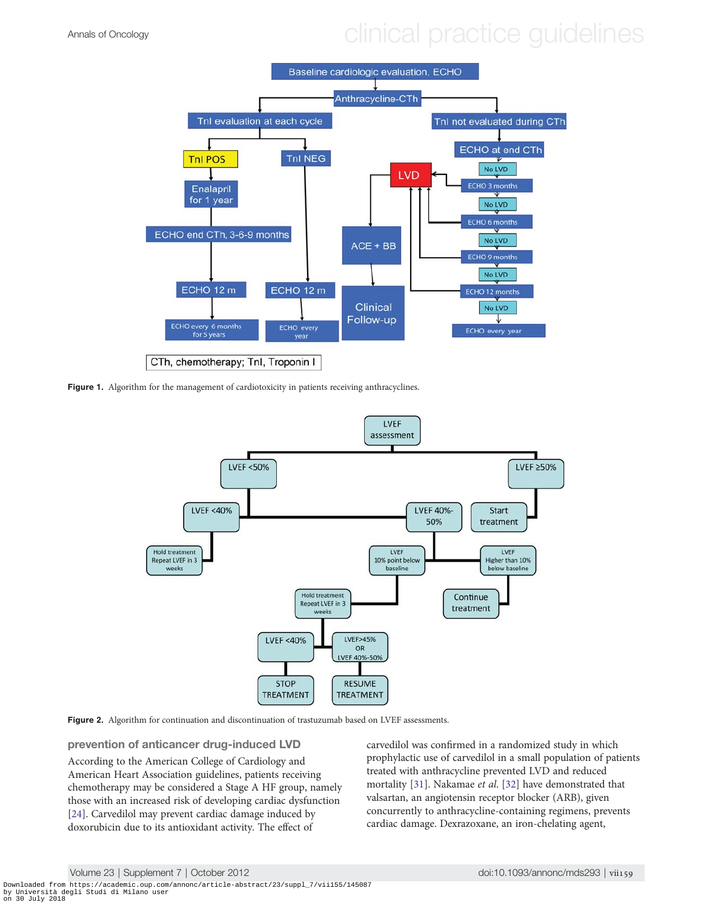### <span id="page-4-0"></span>Annals of Oncology **Annals of Oncology** clinical practice guidelines



Figure 1. Algorithm for the management of cardiotoxicity in patients receiving anthracyclines.



Figure 2. Algorithm for continuation and discontinuation of trastuzumab based on LVEF assessments.

prevention of anticancer drug-induced LVD According to the American College of Cardiology and American Heart Association guidelines, patients receiving chemotherapy may be considered a Stage A HF group, namely those with an increased risk of developing cardiac dysfunction [\[24](#page-10-0)]. Carvedilol may prevent cardiac damage induced by doxorubicin due to its antioxidant activity. The effect of

carvedilol was confirmed in a randomized study in which prophylactic use of carvedilol in a small population of patients treated with anthracycline prevented LVD and reduced mortality [\[31](#page-10-0)]. Nakamae et al. [[32](#page-10-0)] have demonstrated that valsartan, an angiotensin receptor blocker (ARB), given concurrently to anthracycline-containing regimens, prevents cardiac damage. Dexrazoxane, an iron-chelating agent,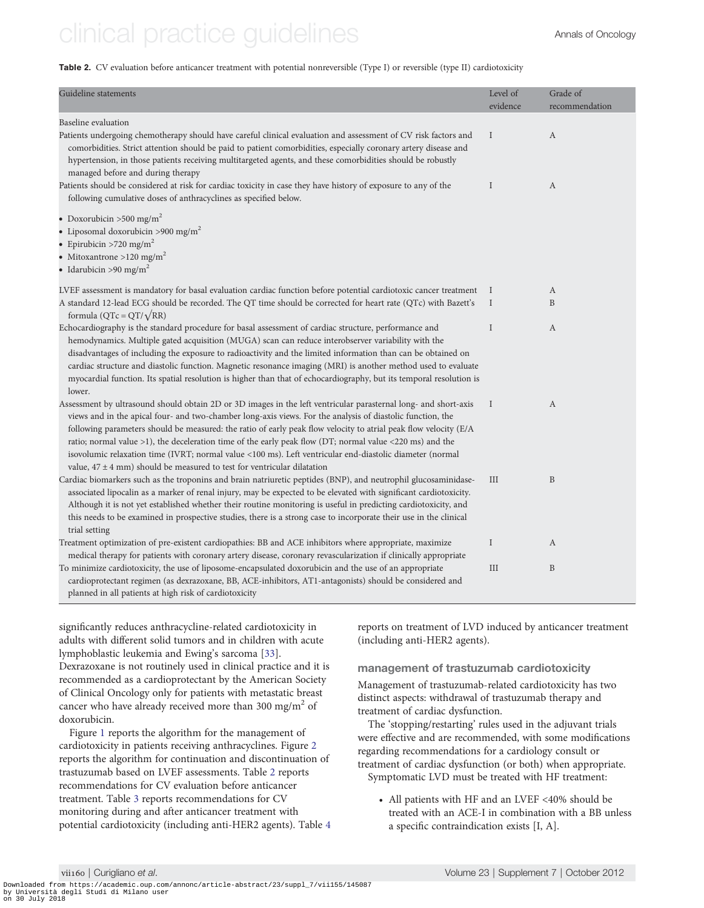# clinical practice guidelines **Annals of Oncology**

#### Table 2. CV evaluation before anticancer treatment with potential nonreversible (Type I) or reversible (type II) cardiotoxicity

| Guideline statements                                                                                                                                                                                                                                                                                                                                                                                                                                                                                                                                                                                                                                     | Level of<br>evidence | Grade of<br>recommendation |
|----------------------------------------------------------------------------------------------------------------------------------------------------------------------------------------------------------------------------------------------------------------------------------------------------------------------------------------------------------------------------------------------------------------------------------------------------------------------------------------------------------------------------------------------------------------------------------------------------------------------------------------------------------|----------------------|----------------------------|
| Baseline evaluation                                                                                                                                                                                                                                                                                                                                                                                                                                                                                                                                                                                                                                      |                      |                            |
| Patients undergoing chemotherapy should have careful clinical evaluation and assessment of CV risk factors and<br>comorbidities. Strict attention should be paid to patient comorbidities, especially coronary artery disease and<br>hypertension, in those patients receiving multitargeted agents, and these comorbidities should be robustly<br>managed before and during therapy                                                                                                                                                                                                                                                                     | $\bf{I}$             | A                          |
| Patients should be considered at risk for cardiac toxicity in case they have history of exposure to any of the<br>following cumulative doses of anthracyclines as specified below.                                                                                                                                                                                                                                                                                                                                                                                                                                                                       | $\mathbf I$          | A                          |
| • Doxorubicin > 500 mg/m <sup>2</sup>                                                                                                                                                                                                                                                                                                                                                                                                                                                                                                                                                                                                                    |                      |                            |
| • Liposomal doxorubicin >900 mg/m <sup>2</sup>                                                                                                                                                                                                                                                                                                                                                                                                                                                                                                                                                                                                           |                      |                            |
| • Epirubicin >720 mg/m <sup>2</sup>                                                                                                                                                                                                                                                                                                                                                                                                                                                                                                                                                                                                                      |                      |                            |
| • Mitoxantrone >120 mg/m <sup>2</sup>                                                                                                                                                                                                                                                                                                                                                                                                                                                                                                                                                                                                                    |                      |                            |
| • Idarubicin >90 mg/m <sup>2</sup>                                                                                                                                                                                                                                                                                                                                                                                                                                                                                                                                                                                                                       |                      |                            |
| LVEF assessment is mandatory for basal evaluation cardiac function before potential cardiotoxic cancer treatment                                                                                                                                                                                                                                                                                                                                                                                                                                                                                                                                         | $\mathbf{I}$         | А                          |
| A standard 12-lead ECG should be recorded. The QT time should be corrected for heart rate (QTc) with Bazett's<br>formula ( $QTc = QT/\sqrt{RR}$ )                                                                                                                                                                                                                                                                                                                                                                                                                                                                                                        | $\mathbf I$          | B                          |
| Echocardiography is the standard procedure for basal assessment of cardiac structure, performance and<br>hemodynamics. Multiple gated acquisition (MUGA) scan can reduce interobserver variability with the<br>disadvantages of including the exposure to radioactivity and the limited information than can be obtained on<br>cardiac structure and diastolic function. Magnetic resonance imaging (MRI) is another method used to evaluate<br>myocardial function. Its spatial resolution is higher than that of echocardiography, but its temporal resolution is<br>lower.                                                                            | $\mathbf I$          | А                          |
| Assessment by ultrasound should obtain 2D or 3D images in the left ventricular parasternal long- and short-axis<br>views and in the apical four- and two-chamber long-axis views. For the analysis of diastolic function, the<br>following parameters should be measured: the ratio of early peak flow velocity to atrial peak flow velocity (E/A<br>ratio; normal value >1), the deceleration time of the early peak flow (DT; normal value <220 ms) and the<br>isovolumic relaxation time (IVRT; normal value <100 ms). Left ventricular end-diastolic diameter (normal<br>value, $47 \pm 4$ mm) should be measured to test for ventricular dilatation | $\mathbf I$          | $\mathbf{A}$               |
| Cardiac biomarkers such as the troponins and brain natriuretic peptides (BNP), and neutrophil glucosaminidase-<br>associated lipocalin as a marker of renal injury, may be expected to be elevated with significant cardiotoxicity.<br>Although it is not yet established whether their routine monitoring is useful in predicting cardiotoxicity, and<br>this needs to be examined in prospective studies, there is a strong case to incorporate their use in the clinical<br>trial setting                                                                                                                                                             | Ш                    | $\boldsymbol{B}$           |
| Treatment optimization of pre-existent cardiopathies: BB and ACE inhibitors where appropriate, maximize<br>medical therapy for patients with coronary artery disease, coronary revascularization if clinically appropriate                                                                                                                                                                                                                                                                                                                                                                                                                               | I                    | А                          |
| To minimize cardiotoxicity, the use of liposome-encapsulated doxorubicin and the use of an appropriate<br>cardioprotectant regimen (as dexrazoxane, BB, ACE-inhibitors, AT1-antagonists) should be considered and<br>planned in all patients at high risk of cardiotoxicity                                                                                                                                                                                                                                                                                                                                                                              | III                  | B                          |

significantly reduces anthracycline-related cardiotoxicity in adults with different solid tumors and in children with acute lymphoblastic leukemia and Ewing's sarcoma [\[33](#page-10-0)].

Dexrazoxane is not routinely used in clinical practice and it is recommended as a cardioprotectant by the American Society of Clinical Oncology only for patients with metastatic breast cancer who have already received more than 300 mg/m<sup>2</sup> of doxorubicin.

Figure [1](#page-4-0) reports the algorithm for the management of cardiotoxicity in patients receiving anthracyclines. Figure [2](#page-4-0) reports the algorithm for continuation and discontinuation of trastuzumab based on LVEF assessments. Table 2 reports recommendations for CV evaluation before anticancer treatment. Table [3](#page-6-0) reports recommendations for CV monitoring during and after anticancer treatment with potential cardiotoxicity (including anti-HER2 agents). Table [4](#page-6-0) reports on treatment of LVD induced by anticancer treatment (including anti-HER2 agents).

#### management of trastuzumab cardiotoxicity

Management of trastuzumab-related cardiotoxicity has two distinct aspects: withdrawal of trastuzumab therapy and treatment of cardiac dysfunction.

The 'stopping/restarting' rules used in the adjuvant trials were effective and are recommended, with some modifications regarding recommendations for a cardiology consult or treatment of cardiac dysfunction (or both) when appropriate. Symptomatic LVD must be treated with HF treatment:

• All patients with HF and an LVEF <40% should be treated with an ACE-I in combination with a BB unless a specific contraindication exists [I, A].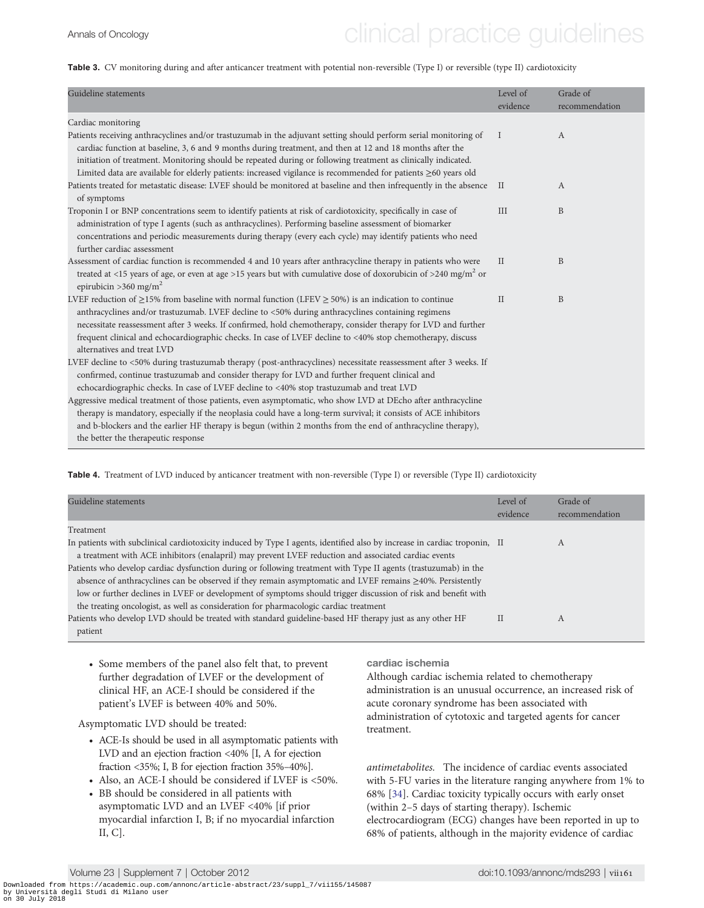# <span id="page-6-0"></span>Annals of Oncology **Annals of Oncology** clinical practice quidelines

#### Table 3. CV monitoring during and after anticancer treatment with potential non-reversible (Type I) or reversible (type II) cardiotoxicity

| Guideline statements                                                                                                                                                                                                                                                                                                                                                                                                                                                                                                                                                                                                                                                                                     | Level of       | Grade of       |
|----------------------------------------------------------------------------------------------------------------------------------------------------------------------------------------------------------------------------------------------------------------------------------------------------------------------------------------------------------------------------------------------------------------------------------------------------------------------------------------------------------------------------------------------------------------------------------------------------------------------------------------------------------------------------------------------------------|----------------|----------------|
|                                                                                                                                                                                                                                                                                                                                                                                                                                                                                                                                                                                                                                                                                                          | evidence       | recommendation |
| Cardiac monitoring                                                                                                                                                                                                                                                                                                                                                                                                                                                                                                                                                                                                                                                                                       |                |                |
| Patients receiving anthracyclines and/or trastuzumab in the adjuvant setting should perform serial monitoring of<br>cardiac function at baseline, 3, 6 and 9 months during treatment, and then at 12 and 18 months after the<br>initiation of treatment. Monitoring should be repeated during or following treatment as clinically indicated.<br>Limited data are available for elderly patients: increased vigilance is recommended for patients $\geq 60$ years old                                                                                                                                                                                                                                    | $\blacksquare$ | A              |
| Patients treated for metastatic disease: LVEF should be monitored at baseline and then infrequently in the absence<br>of symptoms                                                                                                                                                                                                                                                                                                                                                                                                                                                                                                                                                                        | $\mathbf{I}$   | A              |
| Troponin I or BNP concentrations seem to identify patients at risk of cardiotoxicity, specifically in case of<br>administration of type I agents (such as anthracyclines). Performing baseline assessment of biomarker<br>concentrations and periodic measurements during therapy (every each cycle) may identify patients who need<br>further cardiac assessment                                                                                                                                                                                                                                                                                                                                        | III            | B              |
| Assessment of cardiac function is recommended 4 and 10 years after anthracycline therapy in patients who were<br>treated at <15 years of age, or even at age >15 years but with cumulative dose of doxorubicin of >240 mg/m <sup>2</sup> or<br>epirubicin > 360 mg/m <sup>2</sup>                                                                                                                                                                                                                                                                                                                                                                                                                        | $\mathbf{H}$   | B              |
| LVEF reduction of $\geq$ 15% from baseline with normal function (LFEV $\geq$ 50%) is an indication to continue<br>anthracyclines and/or trastuzumab. LVEF decline to <50% during anthracyclines containing regimens<br>necessitate reassessment after 3 weeks. If confirmed, hold chemotherapy, consider therapy for LVD and further<br>frequent clinical and echocardiographic checks. In case of LVEF decline to <40% stop chemotherapy, discuss<br>alternatives and treat LVD                                                                                                                                                                                                                         | $\mathbf{I}$   | B              |
| LVEF decline to <50% during trastuzumab therapy (post-anthracyclines) necessitate reassessment after 3 weeks. If<br>confirmed, continue trastuzumab and consider therapy for LVD and further frequent clinical and<br>echocardiographic checks. In case of LVEF decline to <40% stop trastuzumab and treat LVD<br>Aggressive medical treatment of those patients, even asymptomatic, who show LVD at DEcho after anthracycline<br>therapy is mandatory, especially if the neoplasia could have a long-term survival; it consists of ACE inhibitors<br>and b-blockers and the earlier HF therapy is begun (within 2 months from the end of anthracycline therapy),<br>the better the therapeutic response |                |                |

Table 4. Treatment of LVD induced by anticancer treatment with non-reversible (Type I) or reversible (Type II) cardiotoxicity

| Guideline statements                                                                                                      | Level of     | Grade of       |
|---------------------------------------------------------------------------------------------------------------------------|--------------|----------------|
|                                                                                                                           | evidence     | recommendation |
|                                                                                                                           |              |                |
| Treatment                                                                                                                 |              |                |
| In patients with subclinical cardiotoxicity induced by Type I agents, identified also by increase in cardiac troponin, II |              | А              |
| a treatment with ACE inhibitors (enalapril) may prevent LVEF reduction and associated cardiac events                      |              |                |
| Patients who develop cardiac dysfunction during or following treatment with Type II agents (trastuzumab) in the           |              |                |
| absence of anthracyclines can be observed if they remain asymptomatic and LVEF remains $\geq$ 40%. Persistently           |              |                |
| low or further declines in LVEF or development of symptoms should trigger discussion of risk and benefit with             |              |                |
| the treating oncologist, as well as consideration for pharmacologic cardiac treatment                                     |              |                |
| Patients who develop LVD should be treated with standard guideline-based HF therapy just as any other HF                  | $\mathbf{I}$ | А              |
| patient                                                                                                                   |              |                |

• Some members of the panel also felt that, to prevent further degradation of LVEF or the development of clinical HF, an ACE-I should be considered if the patient's LVEF is between 40% and 50%.

Asymptomatic LVD should be treated:

- ACE-Is should be used in all asymptomatic patients with LVD and an ejection fraction <40% [I, A for ejection fraction <35%; I, B for ejection fraction 35%–40%].
- Also, an ACE-I should be considered if LVEF is <50%.
- BB should be considered in all patients with asymptomatic LVD and an LVEF <40% [if prior myocardial infarction I, B; if no myocardial infarction II, C].

#### cardiac ischemia

Although cardiac ischemia related to chemotherapy administration is an unusual occurrence, an increased risk of acute coronary syndrome has been associated with administration of cytotoxic and targeted agents for cancer treatment.

antimetabolites. The incidence of cardiac events associated with 5-FU varies in the literature ranging anywhere from 1% to 68% [\[34](#page-10-0)]. Cardiac toxicity typically occurs with early onset (within 2–5 days of starting therapy). Ischemic electrocardiogram (ECG) changes have been reported in up to 68% of patients, although in the majority evidence of cardiac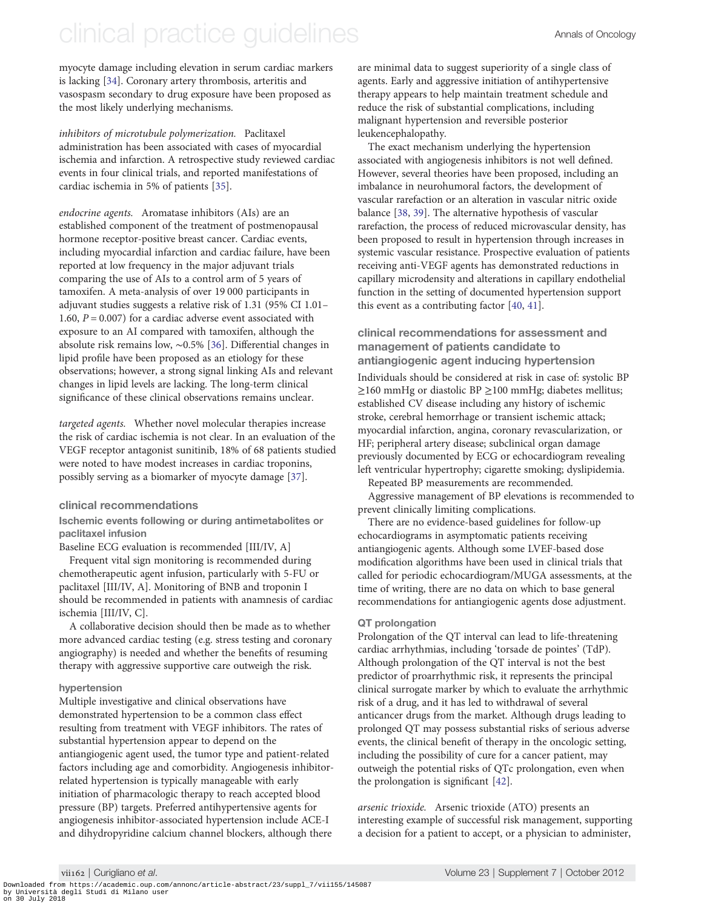### clinical practice guidelines **Annals of Oncology**

myocyte damage including elevation in serum cardiac markers is lacking [[34\]](#page-10-0). Coronary artery thrombosis, arteritis and vasospasm secondary to drug exposure have been proposed as the most likely underlying mechanisms.

inhibitors of microtubule polymerization. Paclitaxel administration has been associated with cases of myocardial ischemia and infarction. A retrospective study reviewed cardiac events in four clinical trials, and reported manifestations of cardiac ischemia in 5% of patients [\[35](#page-10-0)].

endocrine agents. Aromatase inhibitors (AIs) are an established component of the treatment of postmenopausal hormone receptor-positive breast cancer. Cardiac events, including myocardial infarction and cardiac failure, have been reported at low frequency in the major adjuvant trials comparing the use of AIs to a control arm of 5 years of tamoxifen. A meta-analysis of over 19 000 participants in adjuvant studies suggests a relative risk of 1.31 (95% CI 1.01– 1.60,  $P = 0.007$ ) for a cardiac adverse event associated with exposure to an AI compared with tamoxifen, although the absolute risk remains low, ∼0.5% [[36\]](#page-10-0). Differential changes in lipid profile have been proposed as an etiology for these observations; however, a strong signal linking AIs and relevant changes in lipid levels are lacking. The long-term clinical significance of these clinical observations remains unclear.

targeted agents. Whether novel molecular therapies increase the risk of cardiac ischemia is not clear. In an evaluation of the VEGF receptor antagonist sunitinib, 18% of 68 patients studied were noted to have modest increases in cardiac troponins, possibly serving as a biomarker of myocyte damage [\[37](#page-10-0)].

#### clinical recommendations

Ischemic events following or during antimetabolites or paclitaxel infusion

Baseline ECG evaluation is recommended [III/IV, A]

Frequent vital sign monitoring is recommended during chemotherapeutic agent infusion, particularly with 5-FU or paclitaxel [III/IV, A]. Monitoring of BNB and troponin I should be recommended in patients with anamnesis of cardiac ischemia [III/IV, C].

A collaborative decision should then be made as to whether more advanced cardiac testing (e.g. stress testing and coronary angiography) is needed and whether the benefits of resuming therapy with aggressive supportive care outweigh the risk.

#### hypertension

Multiple investigative and clinical observations have demonstrated hypertension to be a common class effect resulting from treatment with VEGF inhibitors. The rates of substantial hypertension appear to depend on the antiangiogenic agent used, the tumor type and patient-related factors including age and comorbidity. Angiogenesis inhibitorrelated hypertension is typically manageable with early initiation of pharmacologic therapy to reach accepted blood pressure (BP) targets. Preferred antihypertensive agents for angiogenesis inhibitor-associated hypertension include ACE-I and dihydropyridine calcium channel blockers, although there

are minimal data to suggest superiority of a single class of agents. Early and aggressive initiation of antihypertensive therapy appears to help maintain treatment schedule and reduce the risk of substantial complications, including malignant hypertension and reversible posterior leukencephalopathy.

The exact mechanism underlying the hypertension associated with angiogenesis inhibitors is not well defined. However, several theories have been proposed, including an imbalance in neurohumoral factors, the development of vascular rarefaction or an alteration in vascular nitric oxide balance [[38,](#page-10-0) [39\]](#page-10-0). The alternative hypothesis of vascular rarefaction, the process of reduced microvascular density, has been proposed to result in hypertension through increases in systemic vascular resistance. Prospective evaluation of patients receiving anti-VEGF agents has demonstrated reductions in capillary microdensity and alterations in capillary endothelial function in the setting of documented hypertension support this event as a contributing factor [\[40](#page-10-0), [41](#page-11-0)].

clinical recommendations for assessment and management of patients candidate to antiangiogenic agent inducing hypertension Individuals should be considered at risk in case of: systolic BP ≥160 mmHg or diastolic BP ≥100 mmHg; diabetes mellitus; established CV disease including any history of ischemic stroke, cerebral hemorrhage or transient ischemic attack; myocardial infarction, angina, coronary revascularization, or HF; peripheral artery disease; subclinical organ damage previously documented by ECG or echocardiogram revealing left ventricular hypertrophy; cigarette smoking; dyslipidemia.

Repeated BP measurements are recommended. Aggressive management of BP elevations is recommended to

prevent clinically limiting complications. There are no evidence-based guidelines for follow-up echocardiograms in asymptomatic patients receiving antiangiogenic agents. Although some LVEF-based dose modification algorithms have been used in clinical trials that called for periodic echocardiogram/MUGA assessments, at the time of writing, there are no data on which to base general recommendations for antiangiogenic agents dose adjustment.

#### QT prolongation

Prolongation of the QT interval can lead to life-threatening cardiac arrhythmias, including 'torsade de pointes' (TdP). Although prolongation of the QT interval is not the best predictor of proarrhythmic risk, it represents the principal clinical surrogate marker by which to evaluate the arrhythmic risk of a drug, and it has led to withdrawal of several anticancer drugs from the market. Although drugs leading to prolonged QT may possess substantial risks of serious adverse events, the clinical benefit of therapy in the oncologic setting, including the possibility of cure for a cancer patient, may outweigh the potential risks of QTc prolongation, even when the prolongation is significant [[42\]](#page-11-0).

arsenic trioxide. Arsenic trioxide (ATO) presents an interesting example of successful risk management, supporting a decision for a patient to accept, or a physician to administer,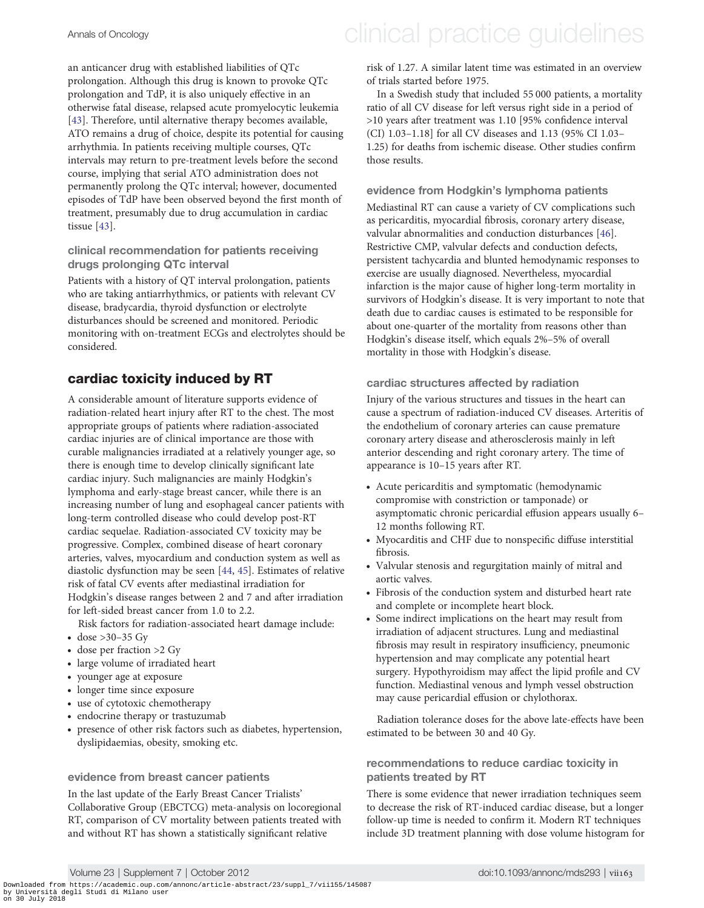an anticancer drug with established liabilities of QTc prolongation. Although this drug is known to provoke QTc prolongation and TdP, it is also uniquely effective in an otherwise fatal disease, relapsed acute promyelocytic leukemia [\[43](#page-11-0)]. Therefore, until alternative therapy becomes available, ATO remains a drug of choice, despite its potential for causing arrhythmia. In patients receiving multiple courses, QTc intervals may return to pre-treatment levels before the second course, implying that serial ATO administration does not permanently prolong the QTc interval; however, documented episodes of TdP have been observed beyond the first month of treatment, presumably due to drug accumulation in cardiac tissue [\[43](#page-11-0)].

#### clinical recommendation for patients receiving drugs prolonging QTc interval

Patients with a history of QT interval prolongation, patients who are taking antiarrhythmics, or patients with relevant CV disease, bradycardia, thyroid dysfunction or electrolyte disturbances should be screened and monitored. Periodic monitoring with on-treatment ECGs and electrolytes should be considered.

### cardiac toxicity induced by RT

A considerable amount of literature supports evidence of radiation-related heart injury after RT to the chest. The most appropriate groups of patients where radiation-associated cardiac injuries are of clinical importance are those with curable malignancies irradiated at a relatively younger age, so there is enough time to develop clinically significant late cardiac injury. Such malignancies are mainly Hodgkin's lymphoma and early-stage breast cancer, while there is an increasing number of lung and esophageal cancer patients with long-term controlled disease who could develop post-RT cardiac sequelae. Radiation-associated CV toxicity may be progressive. Complex, combined disease of heart coronary arteries, valves, myocardium and conduction system as well as diastolic dysfunction may be seen [[44](#page-11-0), [45\]](#page-11-0). Estimates of relative risk of fatal CV events after mediastinal irradiation for Hodgkin's disease ranges between 2 and 7 and after irradiation for left-sided breast cancer from 1.0 to 2.2.

- Risk factors for radiation-associated heart damage include:
- dose >30–35 Gy
- dose per fraction >2 Gy
- large volume of irradiated heart
- younger age at exposure
- longer time since exposure
- use of cytotoxic chemotherapy
- endocrine therapy or trastuzumab
- presence of other risk factors such as diabetes, hypertension, dyslipidaemias, obesity, smoking etc.

#### evidence from breast cancer patients

In the last update of the Early Breast Cancer Trialists' Collaborative Group (EBCTCG) meta-analysis on locoregional RT, comparison of CV mortality between patients treated with and without RT has shown a statistically significant relative

# Annals of Oncology **Annals of Oncology** clinical practice quidelines

risk of 1.27. A similar latent time was estimated in an overview of trials started before 1975.

In a Swedish study that included 55 000 patients, a mortality ratio of all CV disease for left versus right side in a period of >10 years after treatment was 1.10 [95% confidence interval (CI) 1.03–1.18] for all CV diseases and 1.13 (95% CI 1.03– 1.25) for deaths from ischemic disease. Other studies confirm those results.

#### evidence from Hodgkin's lymphoma patients

Mediastinal RT can cause a variety of CV complications such as pericarditis, myocardial fibrosis, coronary artery disease, valvular abnormalities and conduction disturbances [\[46](#page-11-0)]. Restrictive CMP, valvular defects and conduction defects, persistent tachycardia and blunted hemodynamic responses to exercise are usually diagnosed. Nevertheless, myocardial infarction is the major cause of higher long-term mortality in survivors of Hodgkin's disease. It is very important to note that death due to cardiac causes is estimated to be responsible for about one-quarter of the mortality from reasons other than Hodgkin's disease itself, which equals 2%–5% of overall mortality in those with Hodgkin's disease.

#### cardiac structures affected by radiation

Injury of the various structures and tissues in the heart can cause a spectrum of radiation-induced CV diseases. Arteritis of the endothelium of coronary arteries can cause premature coronary artery disease and atherosclerosis mainly in left anterior descending and right coronary artery. The time of appearance is 10–15 years after RT.

- Acute pericarditis and symptomatic (hemodynamic compromise with constriction or tamponade) or asymptomatic chronic pericardial effusion appears usually 6– 12 months following RT.
- Myocarditis and CHF due to nonspecific diffuse interstitial fibrosis.
- Valvular stenosis and regurgitation mainly of mitral and aortic valves.
- Fibrosis of the conduction system and disturbed heart rate and complete or incomplete heart block.
- Some indirect implications on the heart may result from irradiation of adjacent structures. Lung and mediastinal fibrosis may result in respiratory insufficiency, pneumonic hypertension and may complicate any potential heart surgery. Hypothyroidism may affect the lipid profile and CV function. Mediastinal venous and lymph vessel obstruction may cause pericardial effusion or chylothorax.

Radiation tolerance doses for the above late-effects have been estimated to be between 30 and 40 Gy.

### recommendations to reduce cardiac toxicity in patients treated by RT

There is some evidence that newer irradiation techniques seem to decrease the risk of RT-induced cardiac disease, but a longer follow-up time is needed to confirm it. Modern RT techniques include 3D treatment planning with dose volume histogram for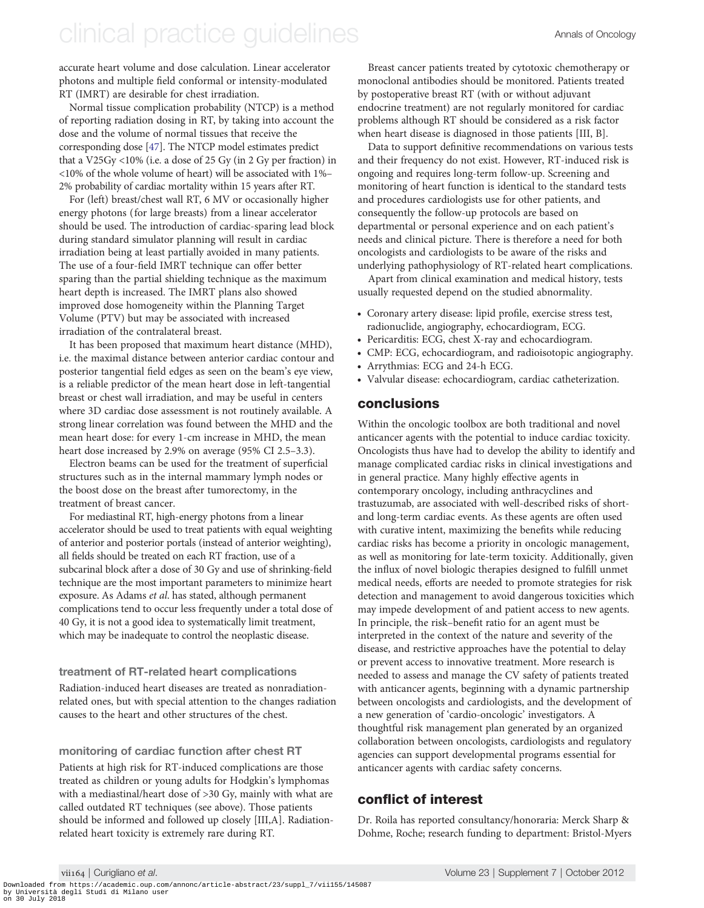### clinical practice quidelines and the second annuals of Oncology

accurate heart volume and dose calculation. Linear accelerator photons and multiple field conformal or intensity-modulated RT (IMRT) are desirable for chest irradiation.

Normal tissue complication probability (NTCP) is a method of reporting radiation dosing in RT, by taking into account the dose and the volume of normal tissues that receive the corresponding dose [[47\]](#page-11-0). The NTCP model estimates predict that a V25Gy <10% (i.e. a dose of 25 Gy (in 2 Gy per fraction) in <10% of the whole volume of heart) will be associated with 1%– 2% probability of cardiac mortality within 15 years after RT.

For (left) breast/chest wall RT, 6 MV or occasionally higher energy photons (for large breasts) from a linear accelerator should be used. The introduction of cardiac-sparing lead block during standard simulator planning will result in cardiac irradiation being at least partially avoided in many patients. The use of a four-field IMRT technique can offer better sparing than the partial shielding technique as the maximum heart depth is increased. The IMRT plans also showed improved dose homogeneity within the Planning Target Volume (PTV) but may be associated with increased irradiation of the contralateral breast.

It has been proposed that maximum heart distance (MHD), i.e. the maximal distance between anterior cardiac contour and posterior tangential field edges as seen on the beam's eye view, is a reliable predictor of the mean heart dose in left-tangential breast or chest wall irradiation, and may be useful in centers where 3D cardiac dose assessment is not routinely available. A strong linear correlation was found between the MHD and the mean heart dose: for every 1-cm increase in MHD, the mean heart dose increased by 2.9% on average (95% CI 2.5–3.3).

Electron beams can be used for the treatment of superficial structures such as in the internal mammary lymph nodes or the boost dose on the breast after tumorectomy, in the treatment of breast cancer.

For mediastinal RT, high-energy photons from a linear accelerator should be used to treat patients with equal weighting of anterior and posterior portals (instead of anterior weighting), all fields should be treated on each RT fraction, use of a subcarinal block after a dose of 30 Gy and use of shrinking-field technique are the most important parameters to minimize heart exposure. As Adams et al. has stated, although permanent complications tend to occur less frequently under a total dose of 40 Gy, it is not a good idea to systematically limit treatment, which may be inadequate to control the neoplastic disease.

#### treatment of RT-related heart complications

Radiation-induced heart diseases are treated as nonradiationrelated ones, but with special attention to the changes radiation causes to the heart and other structures of the chest.

#### monitoring of cardiac function after chest RT

Patients at high risk for RT-induced complications are those treated as children or young adults for Hodgkin's lymphomas with a mediastinal/heart dose of >30 Gy, mainly with what are called outdated RT techniques (see above). Those patients should be informed and followed up closely [III,A]. Radiationrelated heart toxicity is extremely rare during RT.

Breast cancer patients treated by cytotoxic chemotherapy or monoclonal antibodies should be monitored. Patients treated by postoperative breast RT (with or without adjuvant endocrine treatment) are not regularly monitored for cardiac problems although RT should be considered as a risk factor when heart disease is diagnosed in those patients [III, B].

Data to support definitive recommendations on various tests and their frequency do not exist. However, RT-induced risk is ongoing and requires long-term follow-up. Screening and monitoring of heart function is identical to the standard tests and procedures cardiologists use for other patients, and consequently the follow-up protocols are based on departmental or personal experience and on each patient's needs and clinical picture. There is therefore a need for both oncologists and cardiologists to be aware of the risks and underlying pathophysiology of RT-related heart complications.

Apart from clinical examination and medical history, tests usually requested depend on the studied abnormality.

- Coronary artery disease: lipid profile, exercise stress test, radionuclide, angiography, echocardiogram, ECG.
- Pericarditis: ECG, chest X-ray and echocardiogram.
- CMP: ECG, echocardiogram, and radioisotopic angiography.
- Arrythmias: ECG and 24-h ECG.
- Valvular disease: echocardiogram, cardiac catheterization.

### conclusions

Within the oncologic toolbox are both traditional and novel anticancer agents with the potential to induce cardiac toxicity. Oncologists thus have had to develop the ability to identify and manage complicated cardiac risks in clinical investigations and in general practice. Many highly effective agents in contemporary oncology, including anthracyclines and trastuzumab, are associated with well-described risks of shortand long-term cardiac events. As these agents are often used with curative intent, maximizing the benefits while reducing cardiac risks has become a priority in oncologic management, as well as monitoring for late-term toxicity. Additionally, given the influx of novel biologic therapies designed to fulfill unmet medical needs, efforts are needed to promote strategies for risk detection and management to avoid dangerous toxicities which may impede development of and patient access to new agents. In principle, the risk–benefit ratio for an agent must be interpreted in the context of the nature and severity of the disease, and restrictive approaches have the potential to delay or prevent access to innovative treatment. More research is needed to assess and manage the CV safety of patients treated with anticancer agents, beginning with a dynamic partnership between oncologists and cardiologists, and the development of a new generation of 'cardio-oncologic' investigators. A thoughtful risk management plan generated by an organized collaboration between oncologists, cardiologists and regulatory agencies can support developmental programs essential for anticancer agents with cardiac safety concerns.

### conflict of interest

Dr. Roila has reported consultancy/honoraria: Merck Sharp & Dohme, Roche; research funding to department: Bristol-Myers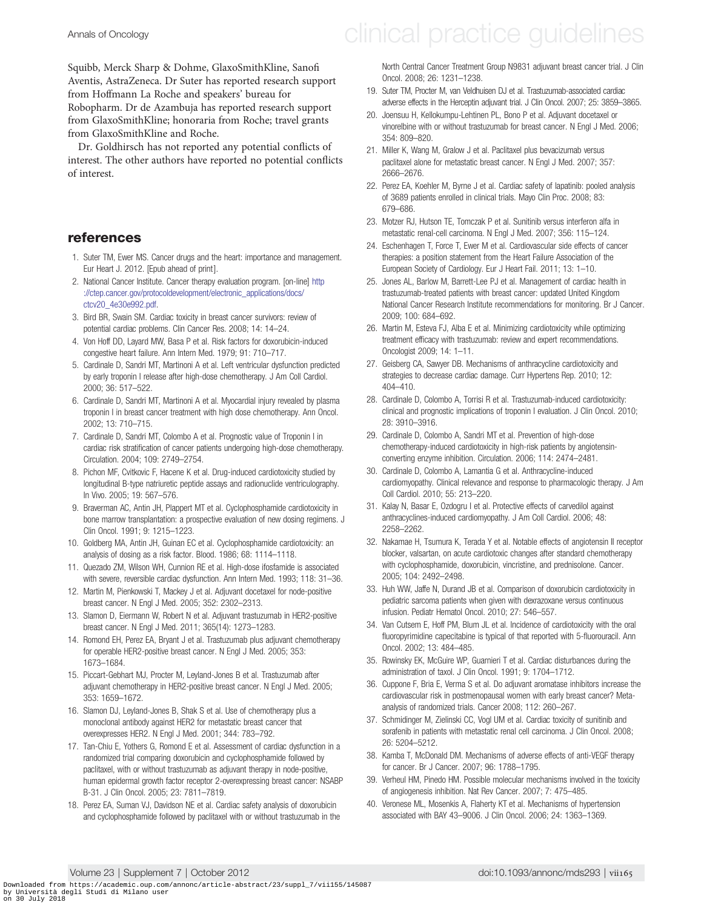Squibb, Merck Sharp & Dohme, GlaxoSmithKline, Sanofi Aventis, AstraZeneca. Dr Suter has reported research support from Hoffmann La Roche and speakers' bureau for Robopharm. Dr de Azambuja has reported research support from GlaxoSmithKline; honoraria from Roche; travel grants from GlaxoSmithKline and Roche.

Dr. Goldhirsch has not reported any potential conflicts of interest. The other authors have reported no potential conflicts of interest.

#### references

- 1. Suter TM, Ewer MS. Cancer drugs and the heart: importance and management. Eur Heart J. 2012. [Epub ahead of print].
- 2. National Cancer Institute. Cancer therapy evaluation program. [on-line] [http](http://ctep.cancer.gov/protocoldevelopment/electronic_applications/docs/ctcv20_4e30e992.pdf) [://ctep.cancer.gov/protocoldevelopment/electronic\\_applications/docs/](http://ctep.cancer.gov/protocoldevelopment/electronic_applications/docs/ctcv20_4e30e992.pdf) [ctcv20\\_4e30e992.pdf](http://ctep.cancer.gov/protocoldevelopment/electronic_applications/docs/ctcv20_4e30e992.pdf).
- 3. Bird BR, Swain SM. Cardiac toxicity in breast cancer survivors: review of potential cardiac problems. Clin Cancer Res. 2008; 14: 14–24.
- 4. Von Hoff DD, Layard MW, Basa P et al. Risk factors for doxorubicin-induced congestive heart failure. Ann Intern Med. 1979; 91: 710–717.
- 5. Cardinale D, Sandri MT, Martinoni A et al. Left ventricular dysfunction predicted by early troponin I release after high-dose chemotherapy. J Am Coll Cardiol. 2000; 36: 517–522.
- 6. Cardinale D, Sandri MT, Martinoni A et al. Myocardial injury revealed by plasma troponin I in breast cancer treatment with high dose chemotherapy. Ann Oncol. 2002; 13: 710–715.
- 7. Cardinale D, Sandri MT, Colombo A et al. Prognostic value of Troponin I in cardiac risk stratification of cancer patients undergoing high-dose chemotherapy. Circulation. 2004; 109: 2749–2754.
- 8. Pichon MF, Cvitkovic F, Hacene K et al. Drug-induced cardiotoxicity studied by longitudinal B-type natriuretic peptide assays and radionuclide ventriculography. In Vivo. 2005; 19: 567–576.
- 9. Braverman AC, Antin JH, Plappert MT et al. Cyclophosphamide cardiotoxicity in bone marrow transplantation: a prospective evaluation of new dosing regimens. J Clin Oncol. 1991; 9: 1215–1223.
- 10. Goldberg MA, Antin JH, Guinan EC et al. Cyclophosphamide cardiotoxicity: an analysis of dosing as a risk factor. Blood. 1986; 68: 1114–1118.
- 11. Quezado ZM, Wilson WH, Cunnion RE et al. High-dose ifosfamide is associated with severe, reversible cardiac dysfunction. Ann Intern Med. 1993; 118: 31–36.
- 12. Martin M, Pienkowski T, Mackey J et al. Adjuvant docetaxel for node-positive breast cancer. N Engl J Med. 2005; 352: 2302–2313.
- 13. Slamon D, Eiermann W, Robert N et al. Adjuvant trastuzumab in HER2-positive breast cancer. N Engl J Med. 2011; 365(14): 1273–1283.
- 14. Romond EH, Perez EA, Bryant J et al. Trastuzumab plus adjuvant chemotherapy for operable HER2-positive breast cancer. N Engl J Med. 2005; 353: 1673–1684.
- 15. Piccart-Gebhart MJ, Procter M, Leyland-Jones B et al. Trastuzumab after adjuvant chemotherapy in HER2-positive breast cancer. N Engl J Med. 2005; 353: 1659–1672.
- 16. Slamon DJ, Leyland-Jones B, Shak S et al. Use of chemotherapy plus a monoclonal antibody against HER2 for metastatic breast cancer that overexpresses HER2. N Engl J Med. 2001; 344: 783–792.
- 17. Tan-Chiu E, Yothers G, Romond E et al. Assessment of cardiac dysfunction in a randomized trial comparing doxorubicin and cyclophosphamide followed by paclitaxel, with or without trastuzumab as adjuvant therapy in node-positive, human epidermal growth factor receptor 2-overexpressing breast cancer: NSABP B-31. J Clin Oncol. 2005; 23: 7811–7819.
- 18. Perez EA, Suman VJ, Davidson NE et al. Cardiac safety analysis of doxorubicin and cyclophosphamide followed by paclitaxel with or without trastuzumab in the

### <span id="page-10-0"></span>Annals of Oncology **Annals of Oncology** clinical practice quidelines

North Central Cancer Treatment Group N9831 adjuvant breast cancer trial. J Clin Oncol. 2008; 26: 1231–1238.

- 19. Suter TM, Procter M, van Veldhuisen DJ et al. Trastuzumab-associated cardiac adverse effects in the Herceptin adjuvant trial. J Clin Oncol. 2007; 25: 3859–3865.
- 20. Joensuu H, Kellokumpu-Lehtinen PL, Bono P et al. Adjuvant docetaxel or vinorelbine with or without trastuzumab for breast cancer. N Engl J Med. 2006; 354: 809–820.
- 21. Miller K, Wang M, Gralow J et al. Paclitaxel plus bevacizumab versus paclitaxel alone for metastatic breast cancer. N Engl J Med. 2007; 357: 2666–2676.
- 22. Perez EA, Koehler M, Byrne J et al. Cardiac safety of lapatinib: pooled analysis of 3689 patients enrolled in clinical trials. Mayo Clin Proc. 2008; 83: 679–686.
- 23. Motzer RJ, Hutson TE, Tomczak P et al. Sunitinib versus interferon alfa in metastatic renal-cell carcinoma. N Engl J Med. 2007; 356: 115–124.
- 24. Eschenhagen T, Force T, Ewer M et al. Cardiovascular side effects of cancer therapies: a position statement from the Heart Failure Association of the European Society of Cardiology. Eur J Heart Fail. 2011; 13: 1–10.
- 25. Jones AL, Barlow M, Barrett-Lee PJ et al. Management of cardiac health in trastuzumab-treated patients with breast cancer: updated United Kingdom National Cancer Research Institute recommendations for monitoring. Br J Cancer. 2009; 100: 684–692.
- 26. Martin M, Esteva FJ, Alba E et al. Minimizing cardiotoxicity while optimizing treatment efficacy with trastuzumab: review and expert recommendations. Oncologist 2009; 14: 1–11.
- 27. Geisberg CA, Sawyer DB. Mechanisms of anthracycline cardiotoxicity and strategies to decrease cardiac damage. Curr Hypertens Rep. 2010; 12: 404–410.
- 28. Cardinale D, Colombo A, Torrisi R et al. Trastuzumab-induced cardiotoxicity: clinical and prognostic implications of troponin I evaluation. J Clin Oncol. 2010; 28: 3910–3916.
- 29. Cardinale D, Colombo A, Sandri MT et al. Prevention of high-dose chemotherapy-induced cardiotoxicity in high-risk patients by angiotensinconverting enzyme inhibition. Circulation. 2006; 114: 2474–2481.
- 30. Cardinale D, Colombo A, Lamantia G et al. Anthracycline-induced cardiomyopathy. Clinical relevance and response to pharmacologic therapy. J Am Coll Cardiol. 2010; 55: 213–220.
- 31. Kalay N, Basar E, Ozdogru I et al. Protective effects of carvedilol against anthracyclines-induced cardiomyopathy. J Am Coll Cardiol. 2006; 48: 2258–2262.
- 32. Nakamae H, Tsumura K, Terada Y et al. Notable effects of angiotensin II receptor blocker, valsartan, on acute cardiotoxic changes after standard chemotherapy with cyclophosphamide, doxorubicin, vincristine, and prednisolone. Cancer. 2005; 104: 2492–2498.
- 33. Huh WW, Jaffe N, Durand JB et al. Comparison of doxorubicin cardiotoxicity in pediatric sarcoma patients when given with dexrazoxane versus continuous infusion. Pediatr Hematol Oncol. 2010; 27: 546–557.
- 34. Van Cutsem E, Hoff PM, Blum JL et al. Incidence of cardiotoxicity with the oral fluoropyrimidine capecitabine is typical of that reported with 5-fluorouracil. Ann Oncol. 2002; 13: 484–485.
- 35. Rowinsky EK, McGuire WP, Guarnieri T et al. Cardiac disturbances during the administration of taxol. J Clin Oncol. 1991; 9: 1704–1712.
- 36. Cuppone F, Bria E, Verma S et al. Do adjuvant aromatase inhibitors increase the cardiovascular risk in postmenopausal women with early breast cancer? Metaanalysis of randomized trials. Cancer 2008; 112: 260–267.
- 37. Schmidinger M, Zielinski CC, Vogl UM et al. Cardiac toxicity of sunitinib and sorafenib in patients with metastatic renal cell carcinoma. J Clin Oncol. 2008; 26: 5204–5212.
- 38. Kamba T, McDonald DM. Mechanisms of adverse effects of anti-VEGF therapy for cancer. Br J Cancer. 2007; 96: 1788–1795.
- 39. Verheul HM, Pinedo HM. Possible molecular mechanisms involved in the toxicity of angiogenesis inhibition. Nat Rev Cancer. 2007; 7: 475–485.
- 40. Veronese ML, Mosenkis A, Flaherty KT et al. Mechanisms of hypertension associated with BAY 43–9006. J Clin Oncol. 2006; 24: 1363–1369.